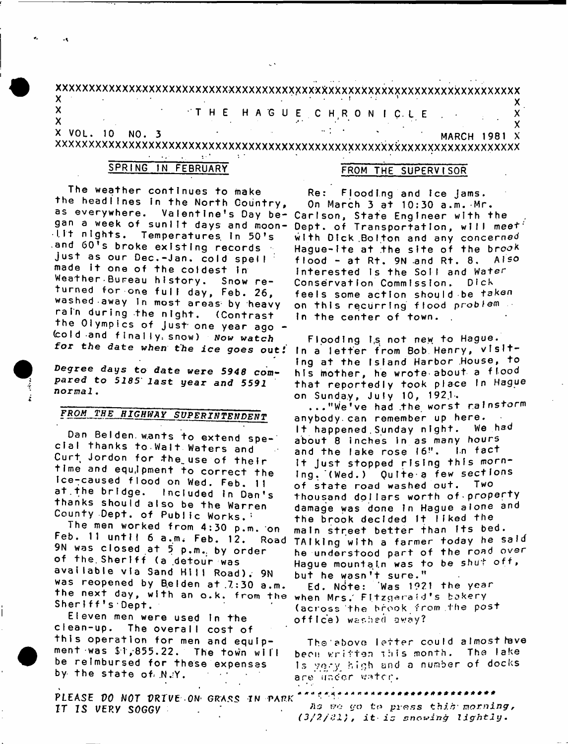## **xxxxxxxxxxxxxxxxxxxxxxxxxxxxxxxxxxxxxxxxxxxxxxxxxxxxxxxxxxxxxxxxxxxxxx**  $\mathsf X$  . The set of the set of the set of the set of the set of the set of the set of the set of the set of the set of the set of the set of the set of the set of the set of the set of the set of the set of the set of the **x** 'THE H A G U E C H R O N I C . I E **X**  $\mathsf{X}$   $\mathsf{X}$   $\mathsf{X}$   $\mathsf{X}$   $\mathsf{X}$   $\mathsf{X}$   $\mathsf{X}$   $\mathsf{X}$   $\mathsf{X}$   $\mathsf{X}$   $\mathsf{X}$   $\mathsf{X}$   $\mathsf{X}$   $\mathsf{X}$   $\mathsf{X}$   $\mathsf{X}$   $\mathsf{X}$   $\mathsf{X}$   $\mathsf{X}$   $\mathsf{X}$   $\mathsf{X}$   $\mathsf{X}$   $\mathsf{X}$   $\mathsf{X}$   $\mathsf{$ X V O L . 10 N O . 3 ' ' M A R C H 1981 **X** XXXXXXXXXXXXXXXXXXXXXXXXXXXXXXXXXXXXXXXXXXXXXXXXXXX)<XXXXXXXXXXXXXXXXXX  $\sim 10$

## SPRING IN FEBRUARY

#### FROM THE SUPERVISOR

The weather continues to make the headlines in the North Country, as everywhere. Valentine's Day began a week of suniit days and moon-• I, It n i g h t s . T e m p e r a t u r e s in 5 0 ' s and 60's broke existing records Just as our Dec.-Jan. cold spell made it one of the coldest in Weather-Bureau history. Snow returned for one full day, Feb. 26, washed away In most areas by heavy rain during the night. (Contrast the Olympics of just one year ago -(cold and finally snow) Now watch for the date when the ice goes out!

Degree days *to* date were *5948* compared to *5185' last year and 5591 normal*.

# *FROM THE HIGHWAY SUPERXNTBNDENT*

Dan Belden. wants to extend special thanks to-Walt Waters and Curt Jordon for the use of their time and equipment to correct the ice-caused flood on Wed. Feb. 11<br>at the bridge. Included in Dan' Included in Dan's thanks should also be the Warren County Dept. of Public Works.

The men worked from 4:30 p.m. on Feb. 11 until 6 a.m. Feb. 12. Road 9N was closed at 5 p.m. by order of the Sheriff (a detour was available via Sand Hill Road). 9N was reopened by Belden at 7:30 a.m. the next day, with an o.k. from the  $Sheriff's:$ Dept,

Eleven men were used in the clean-up. The overall cost of this operation for men and equipment was \$1,855.22. The town will be reimbursed for these expenses by the state of N.Y.  $\sim$   $\sim$ 

PLEASE *DO NOT DRIVE ON GRASS IN PARK* IT IS VERY SOGGY

Re: Flooding and Ice Jams. On March 3 at 10:30 a.m. Mr. Carlson, State Engineer with the Dept. of Transportation, will meet? with Dick Bolton and any concerned Hague-lte at the site of the brook flood - at Rt. 9N and Rt.  $8.$  Also Interested is the Soil and Water Conservation Commission. Dick feels some action should be taken on this recurring flood problem In the center of town.

Flooding is not new to Hague. In a letter from Bob Henry, visiting at the Island Harbor House, to his mother, he wrote about a flood that reportedly took place in Hague on Sunday, July 10, 1921.

..."We've had the worst rainstorm anybody.can remember up here. It happened Sunday night. We had about 8 inches in as many hours and the lake rose 16". In fact It just stopped rising this morn-Ing. (Wed.) Quite a few sections of state road washed out. Two thousand dollars worth of-property damage was done In Hague alone and the brook decided it liked the main street better than Its bed. TA I king with a farmer today he said he understood part of the road over Hague mountain was to be shut off, but he wasn't sure."

Ed. Note: 'Was 1921 the year when Mrs. Fitzgeraid's bakery (across the hrook from the post office) washed away?

The above letter could almost have been written This month. The lake 1s very high and a number of docks are under water.

#### \*\*\*\*\*\*\*\*\*\*\*\*\*\*\*\*\*\*\*\*\*\*

*i\ o* i/o *cjo* f;o *pioss t hi S' mo* ruing, *(3/3/iJl), it is snowing lightly.*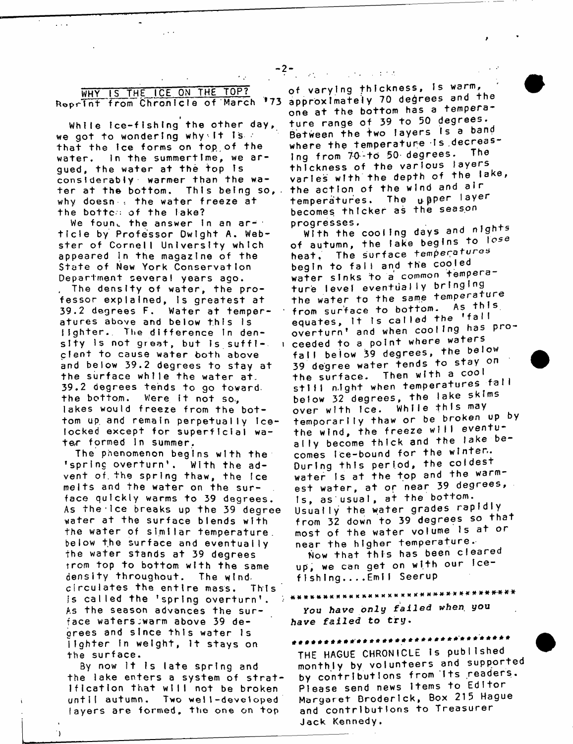|                                    |  |  | WHY IS THE ICE ON THE TOP? |  |
|------------------------------------|--|--|----------------------------|--|
| Reprint from Chronicle of March 73 |  |  |                            |  |

 $\epsilon$  is

 $\sim$   $\sim$ 

 $\sim 100$ 

While Ice-fishing the other day, we got to wondering why  $1 + 1s$ that the Ice forms on top of the water. In the summertime, we argued, the water at the top is considerably warmer than the water at the bottom. This being so,  $\overline{a}$ why doesn  $\cdot$  the water freeze at the bottch of the lake?

We foun, the answer in an ar- $\pm$ ticle by Professor Dwight A. Webster of Cornell University which appeared in the magazine of the State of New York Conservation Department several years ago.

The density of water, the professor explained, is greatest at 39.2 degrees F. Water at temperatures above and below this is lighter. The difference in density is not great, but is suffi-. clent to cause water both above and below 39.2 degrees to stay at the surface while the water at. 39.2 degrees tends to go toward, the bottom. Were it not so, lakes would freeze from the bottom up and remain perpetually icelocked except for superficial water formed in summer.

The phenomenon begins with the 'spring overturn\*. With the advent of. the spring thaw, the Ice melts and the water on the surface quickly warms to 39 degrees. As the ice breaks up the 39 degree water at the surface blends with the water of similar temperature, below the surface and eventually the water stands at 39 degrees trom top to bottom with the same density throughout. The windcirculates the entire mass. This is called the 'spring overturn'. As the season advances the surface waters; warm above 39 decrees and since this water is lighter in weight, It stays on the surface.

By now it is late spring and the lake enters a system of stratification that will not be broken until autumn. Two well-developed layers are formed, the one on top

 $-2 \gamma$  -  $\gamma$  -  $\gamma$  -  $\gamma$  -  $\gamma$  -  $\gamma$ 

of varying thickness, is warm, approxImately 70 degrees and the one at the bottom has a temperature range of 39 to 50 degrees. Between the two layers is a band where the temperature Is decreas-<br>Las from 70-to 50 degrees. The ing from  $70 - 10$  50 degrees. thickness of the various layers varies with the depth of the lake, the action of the wind and air temperatures. The <sub>u</sub>pper layer becomes thicker as the season progresses.

With the cooling days and *nights of autumn,* the fake begins to lose heat. The *surface temperatures* begin to fall and the cooled water sinks to a common temperature level eventually bringing the water to the same temperature from surface to bottom. As this equates, it is called the 'fall overturn' and when cooling has proceeded to a point where waters fall below 39 degrees, the below 39 degree water tends to stay on the surface. Then with a cool stlil night when temperatures fall below 32 degrees, the lake skims over with Ice. While this may temporarily thaw or be broken up by the wind, the freeze will eventually become thick and the lake becomes Ice-bound for the wlnten. During this period, the coldest water is at the top and the warmest water, at or near 39 degrees, Is, as usual, at the bottom. Usually the water grades rapidly from 32 down to 39 degrees so that most of the water volume is at or near the higher temperature.

Now that this has been cleared up, we can get on with our fcefishing....Emii Seerup

\* \* \* \* \* \* « M X « K ft « *H* K x \* X M K \* \* \* \* \* \* \* \* \* \* \* \*-# \* \*

*You have only failed when you* have failed to try.

\*\*\*\*\*\*\*\*\*\*\*\*\*\*\*\*\*\*\*\*\*\*\*\*\*\*\*\* THE HAGUE CHRONICLE Is published monthly by volunteers and supported by contributions from Its readers. Please send news Items to Editor Margaret Broderick, Box 215 Hague and contributions to Treasurer Jack Kennedy.



ŋ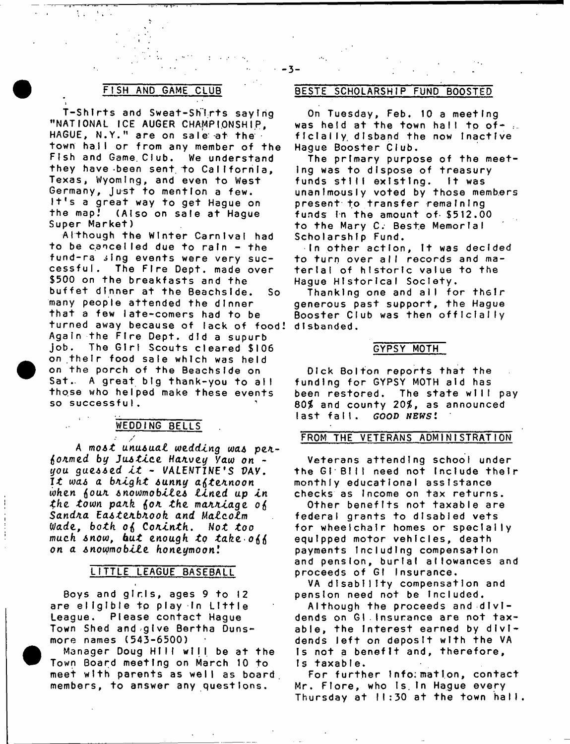T-Shirts and Sweat-Shirts saying "NATIONAL ICE AUGER CHAMPIONSHIP, HAGUE, N.Y." are on sale at the town halI or from any member of the Fish and Game.Club. We understand they have been sent to Callfornia, Texas, Wyoming, and even to West Germany, just to mention a few. It's a great way to get Hague on the map! (Also on sale at Hague Super Market)

Although the Winter Carnival had to be cancelled due to rain - the fund-ra ilng events were very successful. The Fire Dept, made over \$500 on the breakfasts and the buffet dinner at the Beachslde. So many people attended the dinner that a few late-comers had to be turned away because of lack of food! Again the Fire Dept. did a supurb job. The Girl Scouts cleared \$106 on their food sale which was held on the porch of the Beachslde on Sat. A great big thank-you to all those who helped make these events so successful.

## WEDDING BELLS

/ */*

A *mo6t unu&ua£ weddtng wa& pe/i~ io/imed by J u s t i c e . Ha/tvey Yaw on you gue&6ed t t* - l/ALEWTIWE'S *VA*V. 1*1 wa& a b / i t g h t 6unny a&te/inoon when fiouA hno wmob ttei t t n e d up t n the town pa*/ife *f o /1 t h e ma/i/itage o£ Sand/ia Ea^te/ibAook and Malcolm Wade, both o*\5 *Co/ilnth* . *Not too much 6now, h u t enough to takeofi on a 6nowmoblle honeymoonl*

#### LITTLE LEAGUE BASEBALL

Boys and girls, ages 9 to 12 are eligible to play in Little League. Please contact Hague Town Shed and give Bertha Dunsmore names (543-6500)

Manager Doug Hill will be at the Town Board meeting on March 10 to meet with parents as well as board, members, to answer any questions.

## FISH AND GAME CLUB BESTE SCHOLARSHIP FUND BOOSTED

 $-3-$ 

On Tuesday, Feb. 10 a meeting was held at the town hall to officially disband the now inactive Hague Booster Club.

The primary purpose of the meeting was to dispose of treasury funds still existing. It was unan I mously voted by those members present to transfer remaining funds In the amount of  $$512.00$ to the Mary C. Beste Memorial Scholarship Fund.

In other action, It was decided to turn over all records and material of historic value to the Hague Historical Society.

Thanking one and all for their generous past support, the Hague Booster Club was then officially disbanded.

#### GYPSY MOTH

Dick Bolton reports that the funding for GYPSY MOTH aid has been restored. The state will pay 8 0 *%* and county *20%,* as announced  $last$  fall. *GOOD NEWS*!

#### FROM THE VETERANS ADMINISTRATION

Veterans attending school under the Gt Bill need not Include their monthly educational assistance checks as Income on tax returns.

Other benefits not taxable are federal grants to disabled vets for wheelchair homes or specially equipped motor vehicles, death payments Including compensation and pension, burial allowances and proceeds of GI Insurance.

VA disability compensation and pension need not be Included,

Although the proceeds and dividends on Gl.Insurance are not taxable, the Interest earned by dividends left on deposit with the VA Is not a benefit and, therefore, Is taxable.

For further lnfo:mat1on, contact Mr. Flore, who Is.In Hague every Thursday at 11:30 at the town hall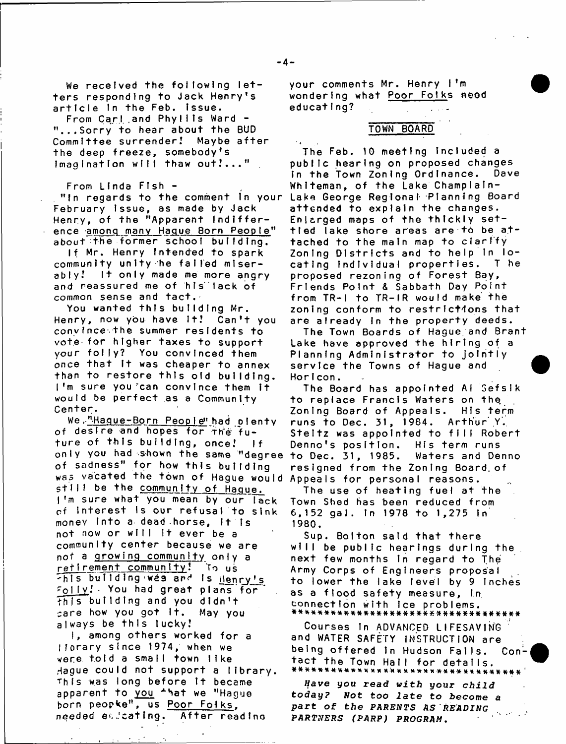We received the following letters responding to Jack Henry's article in the Feb. issue.

From Carl, and Phyllis Ward -"...Sorry to hear about the BUD Committee surrender! Maybe after the deep freeze, somebody's Imagination will thaw out!..."

 $From$   $L$ inda  $F$ ish  $-$ 

"In regards to the comment in your February Issue, as made by Jack Henry, of the "Apparent Indifference among many Hague Born People" about the former school building.

If Mr. Henry Intended to spark community unity he failed miser $ab \, |y$ ! It only made me more angry and reassured me of his lack of common sense and tact.

You wanted this building Mr. Henry, now you have It! Can't you convince the summer residents to vote-for higher taxes to support your folly? You convinced them once that it was cheaper to annex than to restore this old building. I'm sure you can convince them it would be perfect as a Community Center.

We ."Hague-Born People" had olenty of desire and hopes for the future of this building, once! If of sadness" for how this building was vacated the town of Hague would Appeals for personal reasons.  $s$ till be the community of Hague. I'm sure what you mean by our lack of Interest is our refusal to sink money into a dead horse, it is not now or will it ever be a community center because we are not a growing community only a retirement community! To us This building was and is Henry's  $F_0$ |  $\gamma$ !  $\cdot$  You had great plans for this building and you didn't  $\mathfrak c$  are how you got it. May you always be this lucky!

I, among others worked for a Iforary since 1974, when we were told a small town like Hague could not support a library. This was long before  $it$  became apparent to you that we "Hague born peopke", us Poor Folks, needed ecJeating. After readlno

your comments Mr. Henry I'm wondering what Poor Folks need educating?

## TOWN BOARD

The Feb. 10 meeting included a public hearing on proposed changes In the Town Zoning Ordinance. Dave Whiteman, of the Lake Champlain-Lake George Regional Planning Board attended to explain the changes. Enlarged maps of the thickly settled lake shore areas are to be attached to the main map to clarify Zoning Districts and to help in locating individual properties. The proposed rezoning of Forest Bay, Friends Point & Sabbath Day Point from TR-I to TR-IR would make the zoning conform to restrictions that are already in the property deeds.

The Town Boards of Hague.and Brant Lake have approved the hiring of a Planning Administrator to jointly service the Towns of Hague and Horlcon.

only you had shown the same "degree to Dec. 31, 1985. Waters and Denno The Board has appointed Al Sefsik to replace Francis Waters on the Zoning Board of Appeals. His term runs to Dec. 31, 1984. Arthur Y. Steltz was appointed to fill Robert Denno's position. His term runs resigned from the Zoning Board of

> The use of heating fuel at the Town Shed has been reduced from 6, 152 gal. in 1978 to 1, 275 in 1980.

Sup. Bolton said that there will be public hearings during the next few months in regard to The Army Corps of Engineers proposal to lower the lake level by 9 Inches as a flood safety measure, in connection with Ice problems. \*\*\*\*\*\*\*\*\*\*\*\*\*\*\*####\*\*####\*#######\*#

Courses in ADVANCED LIFESAVING and WATER SAFETY INSTRUCTION are being offered In Hudson Falls. Contact the Town Hall for details. M M \* \* \* \* \* \* \* \* \* \* '

*Have* you *read with* your *child* today? *Not too late to become a part of the PARENTS AS READING*  $PARTNERS$  (PARP) PROGRAM.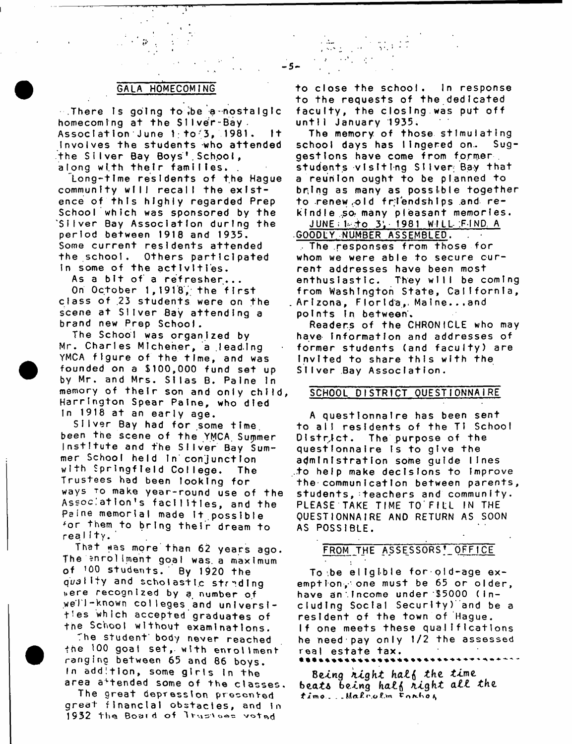## GALA HOMECOMING

 $\blacksquare$  . There is going to be a nostalgic homecoming at the Sliver-Bay. Association June 1 to  $3, 1981.$  It Involves the students who attended the Silver Bay Boys' School, along with their families. .

Long-time residents of the Hague community will recall the existence of this highly regarded Prep School which was sponsored by the Silver Bay Association during the period between 1918 and 1935. Some current residents attended the school. Others participated In some of the activities.

As a bit of a refresher... On October  $1,1918'$ , the first class of 23 students were on the scene at Silver Bay attending a brand new Prep School.

The School was organized by Mr. Charles Michener, a lead.ing YMCA figure of the time, and was founded on a \$100,000 fund set up by Mr. and Mrs. Silas B. Paine in memory of their son and only child, Harrington Spear Paine, who died In 1918 at an early age.

Silver Bay had for some time, been the scene of the YMCA Summer Institute and the Silver Bay Summer School held In conjunction with Springfield College. The Trustees had been looking for ways to make year-round use of the Association's facilities, and the Paine memorial made it possible \*or them to bring their dream to reality.'

That nas more than 62 years ago. The enrollment goal was a maximum of 100 students. By 1920 the quallty and scholastic strading nere recognized by a number of weT)-known colleges and universities which accepted graduates of the School without examinations. The student body never reached

the 100 goat set, with enrollment ranging between 65 and 86 boys. In add tion, some girls in the area attended some of the classes.

The great depression presented great financial obstacles, and in 1932 the Board of Trustoes voted

to close the school. In response to the requests of the dedicated faculty, the closing was put off unt! January 1935.

The memory of those stimulating school days has lingered on. Suggestions have come from former students visiting Silver Bay that a reunion ought to be planned to bring as many as possible together to renew old friendships and rekindle so many pleasant memories.

JUNE : 1470 3, 1981 WILL FIND. A GOODLY NUMBER ASSEMBLED. The responses from those for whom we were able to secure current addresses have been most enthusiastic. They will be coming from Washington State, California, . Arizona, Florida, Maine...and points in between.

Readers of the CHRONICLE who may have Information and addresses of former students (and faculty) are Invited to share this with the Silver Bay Association.

#### SCHOOL DISTRICT QUESTIONNAIRE

A questionnaire has been sent to all residents of the Ti School District. The purpose of the questionnaire is to give the administration some guide lines .to help make decisions to improve the communication between parents, students, teachers and community. PLEASE TAKE TIME TO FILL IN THE QUESTIONNAIRE AND RETURN AS SOON AS POSSIBLE.

## FROM THE ASSESSORS' OFFICE

To be eligible for old-age exemption, one must be 65 or older, have an .Income under \$5000 (Including Social Security) and be a resident of the town of Hague. If one meets these qualifications he need pay only 1/2 the assessed real estate tax.

**8 e-tug** *kight hatft thz time.* **b e a t\* be-twg** *night att the.*  $time = \text{MaRn.oRm}$   $F_0$ rhog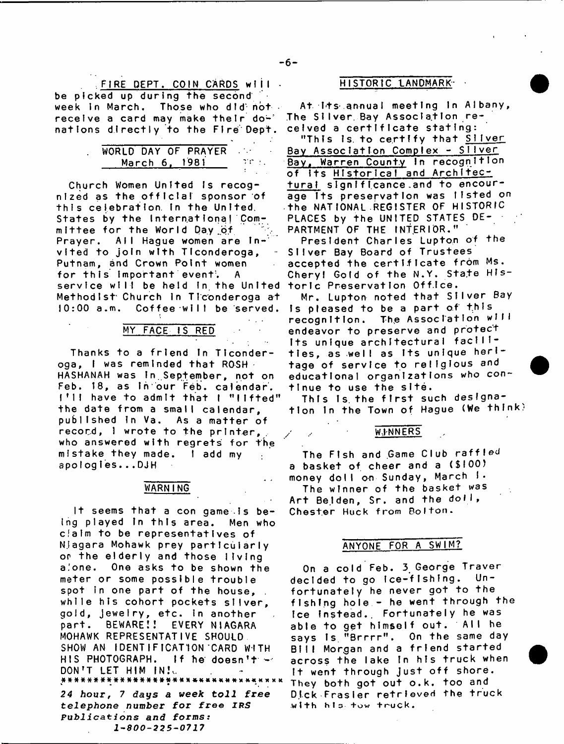FIRE DEPT. COIN CARDS will. be picked up during the second week in March. Those who did not. receive a card may make their donations directly to the Fire Dept.

| WORLD DAY OF PRAYER |  |
|---------------------|--|
| March 6. 1981       |  |
|                     |  |

Church Women United is recognized as the official sponsor of this celebration. In the United. States by the International Committee for the World Day of Prayer. All Hague women are Invited to join with TIconderoga, Putnam, and Crown Point women for this important event. A service will be held in the United Methodist Church in Ticonderoga at 10:00 a.m. Coffee will be served.

## MY FACE IS RED

Thanks to a friend in Ticonder $o$ ga, I was reminded that ROSH $\cdot$ HASHANAH was In September, not on Feb. 18, as in our Feb. calendar.  $\{$   $\uparrow$   $\uparrow$   $\uparrow$  h ave to admit that  $\uparrow$  "!ifted" the date from a small calendar, published in Va. As a matter of record, I wrote to the printer, who answered with regrets for the mistake they made. I add my apologies...DJH

### WARN ING

It seems that a con game is being played in this area. Men who claim to be representatives of Niagara Mohawk prey particularly or the elderly and those living a'one. One asks to be shown the meter or some possible trouble spot in one part of the house, while his cohort pockets sliver, gold, jewelry, etc. In another part. BEWARE!! EVERY NIAGARA MOHAWK REPRESENTATIVE SHOULD SHOW AN IDENTIFICATION'CARD WITH HIS PHOTOGRAPH. If he doesn't  $\rightarrow$ D O N ' T L E T H I M IN!,. *24* hour, *7 days a week toll free telephone number for free XRS Publications and forms: 1-800-225-0717*

### HISTORIC LANDMARK-

At Its annual meeting in Albany, The Silver, Bay Association recelved a certificate stating:

"This is to certify that Silve<u>r</u> Bay Association Complex - Silver Bay, Warren County In recognition of its Historical and Architectural significance and to encourage its preservation was listed on the NATIONAL REGISTER OF HISTORIC PLACES by the UNITED STATES  $DE$ -PARTMENT OF THE INTERIOR."

President Charles Lupton of the Silver Bay Board of Trustees accepted the certificate from Ms. Cheryl Gold of the N.Y. State Historic Preservation Office.

Mr. Lupton noted that Silver Bay Is pleased to be a part of this recognition. The Association will endeavor to preserve and protect Its unique architectural facilities, as well as its unique her!tage of service to religious and educational organizations who continue to use the site.

This is the first such designation in the Town of Hague (We think)

#### **WINNERS**

The Fish and Game Club raffled a basket of cheer and a (\$100) money doll on Sunday, March I. The winner of the basket was Art Belden, Sr. and the doll, Chester Huck from Bolton.

## ANYONE FOR A SWIM?

On a cold Feb. 3 George Traver decided to go ice-fishing. Unfortunately he never got to the fishing hole - he went through the Ice Instead. Fortunately he was able to get himself out. All he says Is."Brrrr". On the same day Bill Morgan and a friend started across the lake in his truck when It went through just off shore. They both got out o.k. too and Djck Frasier retrieved the truck with his tow truck.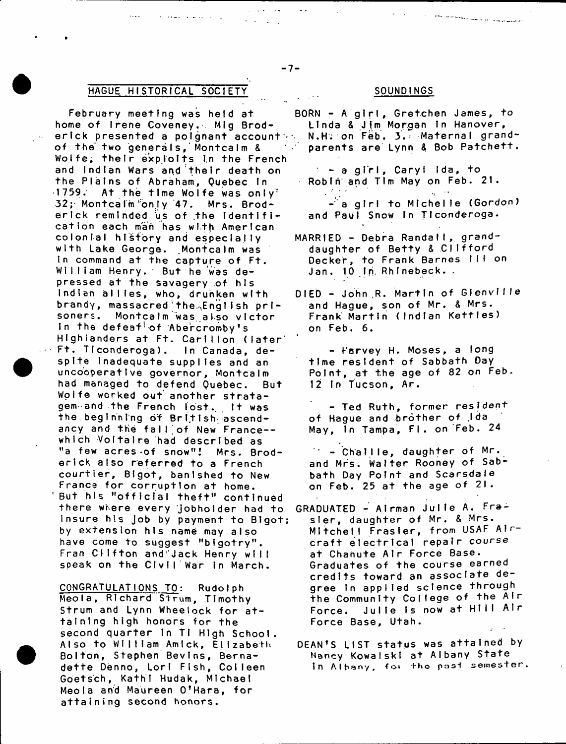## HAGUE HISTORICAL SOCIETY SOUNDINGS

والمناطق والمقتلة

February meeting was held at home of Irene Coveney. Mlg Broderick presented a polgnant account an of the two generals, Montcalm & Wolfe, their exploits in the French and Indian Wars and their death on the Plains of Abraham, Quebec in  $1759$ . At the time Wolfe was only? 32; Montcalm only 47. Mrs. Broderick reminded us of the identification each man has with American colonial history and especially with Lake George. Montcalm was In command at the capture of Ft. William Henry. But he was depressed at the savagery of his Indian allies, who, drunken with brandy, massacred the English prisoners. Montcalm was also victor In the defeat of Abercromby's Highlanders at Ft. Carillon (later' Ft. Ticonderoga). In Canada, despite Inadequate supplies and an uncooperative governor, Montcalm had managed to defend Quebec. But Wolfe worked out another stratagem and the French lost. It was the beginning of British ascendancy and the fall of New France-whlch Voltaire had described as "a few acres of snow"! Mrs. Broderick also referred to a French courtier, Bigot, banished to New France for corruption at home. But his "official theft" continued there where every jobholder had to insure his Job by payment to Bigot; by extension his name may also have come to suggest "bigotry". Fran Clifton and'Jack Henry wilt speak on the Civil War in March.

CONGRATULATIONS TO: Rudolph Meola, Richard Strum, Timothy Strum and Lynn Wheelock for attaining high honors for the second quarter in Ti High School. Also to William Amick, Elizabeth Bolton, Stephen Bevins, Bernadette Denno, Lori Fish, Colleen Goetsch, Kath'i Hudak, Michael Meola and Maureen O'Hara, for attaining second honors.

BORN - A girl, Gretchen James, to Linda & Jim Morgan in Hanover, N.H; on Feb. 3. Maternal grandparents are Lynn & Bob Patchett.

- a girl, Caryl Ida, to Robin and Tim May on Feb. 21.
	- $-$  a girl to Michelle (Gordon) and Paul Snow In Ticonderoga.
- MARRIED Debra Randall, granddaughter of Betty & Clifford Decker, to Frank Barnes III on Jan. 10 In. Rhinebeck..
- DIED John R. Martin of Glenville and Hague, son of Mr. & Mrs. Frank Martin (Indian Kettles) on Feb. 6.
	- Farvey H. Moses, a long time resident of Sabbath Day Point, at the age of 82 on Feb. 12 In Tucson, Ar.
	- Ted Ruth, former resident of Haque and brother of Ida May, In Tampa, Fl. on Feb. 24
	- Challle, daughter of Mr. and Mrs. Walter Rooney of Sabbath Day Point and Scarsdale on Feb. 25 at the age of 21.
- GRADUATED Airman Julie A. Frasier, daughter of Mr. & Mrs. Mitchell Frasier, from USAF Aircraft electrical repair course at Chanute Air Force Base. Graduates of the course earned credits toward an associate degree In applied science through the Community College of the Air Force. Julie is now at Hill Air Force Base, Utah.
- DEAN'S LIST status was attained by Nancy Kowalski at Albany State In Albany, for the past semester.